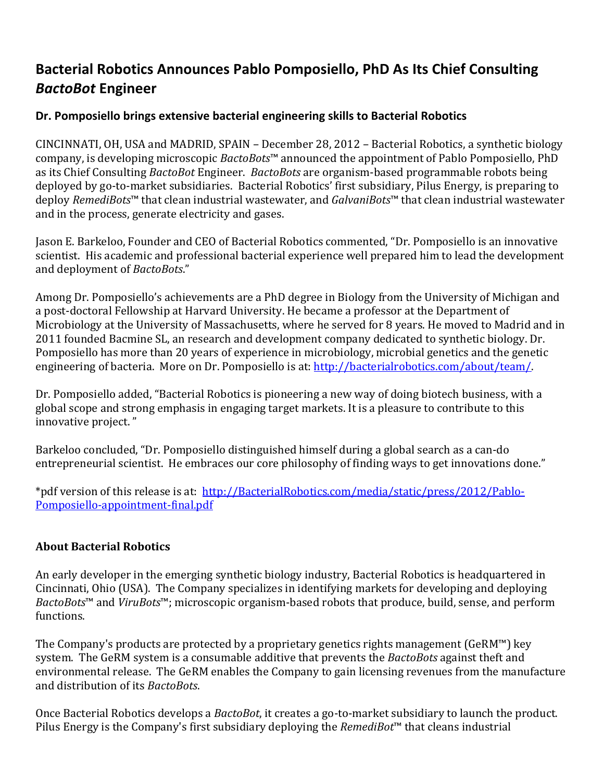## **Bacterial Robotics Announces Pablo Pomposiello, PhD As Its Chief Consulting** *BactoBot* **Engineer**

## **Dr. Pomposiello brings extensive bacterial engineering skills to Bacterial Robotics**

CINCINNATI, OH, USA and MADRID, SPAIN – December 28, 2012 – Bacterial Robotics, a synthetic biology company, is developing microscopic *BactoBots*™ announced the appointment of Pablo Pomposiello, PhD as its Chief Consulting *BactoBot* Engineer. BactoBots are organism-based programmable robots being deployed by go-to-market subsidiaries. Bacterial Robotics' first subsidiary, Pilus Energy, is preparing to deploy *RemediBots*™ that clean industrial wastewater, and *GalvaniBots*™ that clean industrial wastewater and in the process, generate electricity and gases.

Jason E. Barkeloo, Founder and CEO of Bacterial Robotics commented, "Dr. Pomposiello is an innovative scientist. His academic and professional bacterial experience well prepared him to lead the development and deployment of *BactoBots*."

Among Dr. Pomposiello's achievements are a PhD degree in Biology from the University of Michigan and a post-doctoral Fellowship at Harvard University. He became a professor at the Department of Microbiology at the University of Massachusetts, where he served for 8 years. He moved to Madrid and in 2011 founded Bacmine SL, an research and development company dedicated to synthetic biology. Dr. Pomposiello has more than 20 years of experience in microbiology, microbial genetics and the genetic engineering of bacteria. More on Dr. Pomposiello is at: http://bacterialrobotics.com/about/team/.

Dr. Pomposiello added, "Bacterial Robotics is pioneering a new way of doing biotech business, with a global scope and strong emphasis in engaging target markets. It is a pleasure to contribute to this innovative project."

Barkeloo concluded, "Dr. Pomposiello distinguished himself during a global search as a can-do entrepreneurial scientist. He embraces our core philosophy of finding ways to get innovations done."

\*pdf version of this release is at: http://BacterialRobotics.com/media/static/press/2012/Pablo-Pomposiello-appointment-final.pdf

## **About Bacterial Robotics**

An early developer in the emerging synthetic biology industry, Bacterial Robotics is headquartered in Cincinnati, Ohio (USA). The Company specializes in identifying markets for developing and deploying *BactoBots*<sup>™</sup> and *ViruBots*<sup>™</sup>; microscopic organism-based robots that produce, build, sense, and perform functions. 

The Company's products are protected by a proprietary genetics rights management (GeRM™) key system. The GeRM system is a consumable additive that prevents the *BactoBots* against theft and environmental release. The GeRM enables the Company to gain licensing revenues from the manufacture and distribution of its *BactoBots*.

Once Bacterial Robotics develops a *BactoBot*, it creates a go-to-market subsidiary to launch the product. Pilus Energy is the Company's first subsidiary deploying the *RemediBot*<sup>™</sup> that cleans industrial